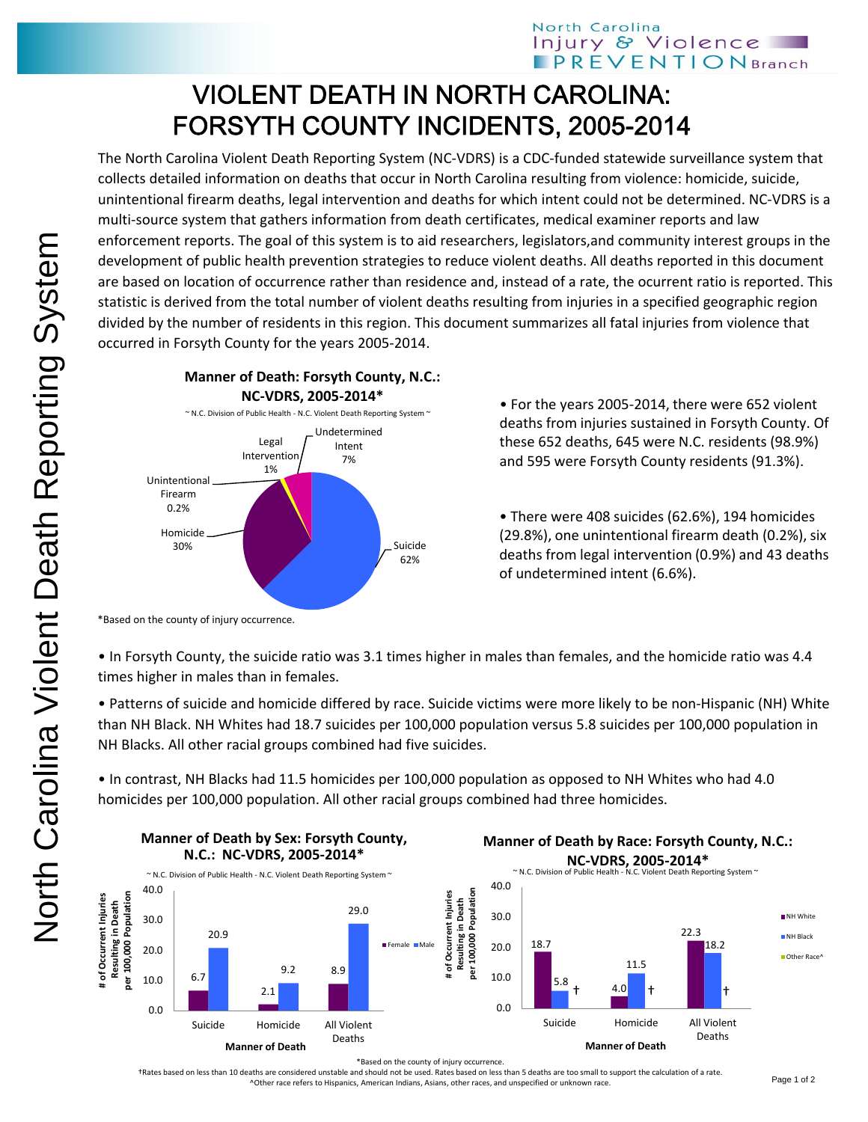## VIOLENT DEATH IN NORTH CAROLINA: FORSYTH COUNTY INCIDENTS, 2005-2014

The North Carolina Violent Death Reporting System (NC‐VDRS) is a CDC‐funded statewide surveillance system that collects detailed information on deaths that occur in North Carolina resulting from violence: homicide, suicide, unintentional firearm deaths, legal intervention and deaths for which intent could not be determined. NC‐VDRS is a multi‐source system that gathers information from death certificates, medical examiner reports and law enforcement reports. The goal of this system is to aid researchers, legislators,and community interest groups in the development of public health prevention strategies to reduce violent deaths. All deaths reported in this document are based on location of occurrence rather than residence and, instead of a rate, the ocurrent ratio is reported. This statistic is derived from the total number of violent deaths resulting from injuries in a specified geographic region divided by the number of residents in this region. This document summarizes all fatal injuries from violence that occurred in Forsyth County for the years 2005‐2014.



• For the years 2005‐2014, there were 652 violent deaths from injuries sustained in Forsyth County. Of these 652 deaths, 645 were N.C. residents (98.9%) and 595 were Forsyth County residents (91.3%).

• There were 408 suicides (62.6%), 194 homicides (29.8%), one unintentional firearm death (0.2%), six deaths from legal intervention (0.9%) and 43 deaths of undetermined intent (6.6%).

\*Based on the county of injury occurrence.

• In Forsyth County, the suicide ratio was 3.1 times higher in males than females, and the homicide ratio was 4.4 times higher in males than in females.

• Patterns of suicide and homicide differed by race. Suicide victims were more likely to be non‐Hispanic (NH) White than NH Black. NH Whites had 18.7 suicides per 100,000 population versus 5.8 suicides per 100,000 population in NH Blacks. All other racial groups combined had five suicides.

• In contrast, NH Blacks had 11.5 homicides per 100,000 population as opposed to NH Whites who had 4.0 homicides per 100,000 population. All other racial groups combined had three homicides.



\*Based on the county of injury occurrence.

†Rates based on less than 10 deaths are considered unstable and should not be used. Rates based on less than 5 deaths are too small to support the calculation of a rate. ^Other race refers to Hispanics, American Indians, Asians, other races, and unspecified or unknown race.